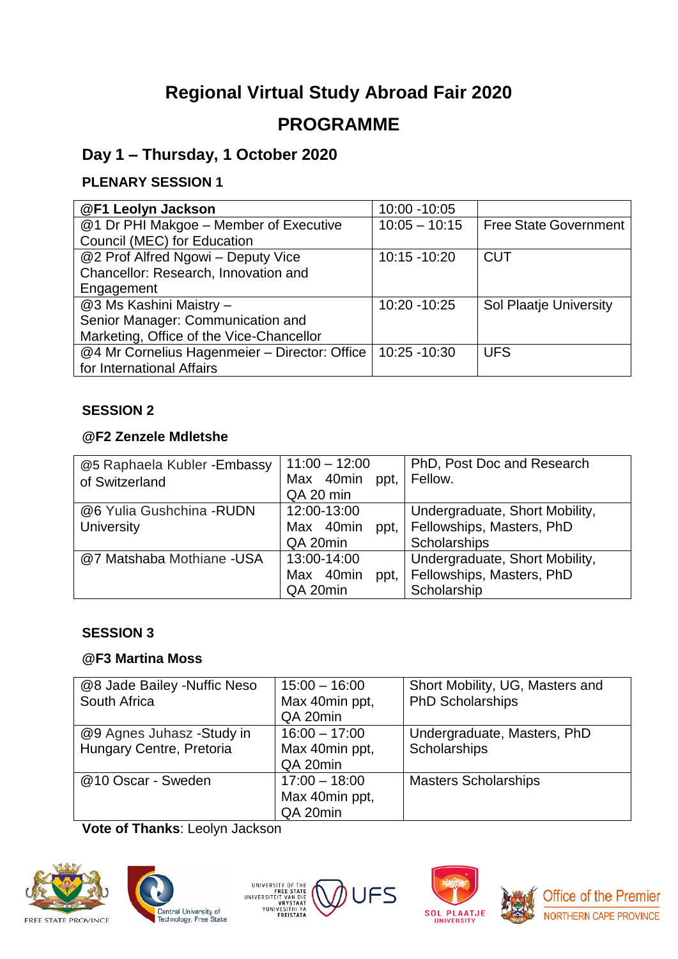# **Regional Virtual Study Abroad Fair 2020 PROGRAMME**

# **Day 1 – Thursday, 1 October 2020**

# **PLENARY SESSION 1**

| @F1 Leolyn Jackson                            | 10:00 -10:05    |                              |
|-----------------------------------------------|-----------------|------------------------------|
| @1 Dr PHI Makgoe - Member of Executive        | $10:05 - 10:15$ | <b>Free State Government</b> |
| Council (MEC) for Education                   |                 |                              |
| @2 Prof Alfred Ngowi - Deputy Vice            | 10:15 -10:20    | <b>CUT</b>                   |
| Chancellor: Research, Innovation and          |                 |                              |
| Engagement                                    |                 |                              |
| @3 Ms Kashini Maistry -                       | 10:20 - 10:25   | Sol Plaatje University       |
| Senior Manager: Communication and             |                 |                              |
| Marketing, Office of the Vice-Chancellor      |                 |                              |
| @4 Mr Cornelius Hagenmeier - Director: Office | 10:25 - 10:30   | <b>UFS</b>                   |
| for International Affairs                     |                 |                              |

### **SESSION 2**

### **@F2 Zenzele Mdletshe**

| @5 Raphaela Kubler - Embassy<br>of Switzerland | $11:00 - 12:00$<br>Max 40min ppt,<br>QA 20 min | PhD, Post Doc and Research<br>Fellow.                                       |
|------------------------------------------------|------------------------------------------------|-----------------------------------------------------------------------------|
| @6 Yulia Gushchina -RUDN<br>University         | 12:00-13:00<br>Max 40min<br>ppt,<br>QA 20min   | Undergraduate, Short Mobility,<br>Fellowships, Masters, PhD<br>Scholarships |
| @7 Matshaba Mothiane -USA                      | 13:00-14:00<br>Max 40min<br>ppt,<br>QA 20min   | Undergraduate, Short Mobility,<br>Fellowships, Masters, PhD<br>Scholarship  |

### **SESSION 3**

### **@F3 Martina Moss**

| @8 Jade Bailey -Nuffic Neso<br>South Africa           | $15:00 - 16:00$<br>Max 40min ppt,<br>QA 20min | Short Mobility, UG, Masters and<br><b>PhD Scholarships</b> |
|-------------------------------------------------------|-----------------------------------------------|------------------------------------------------------------|
| @9 Agnes Juhasz -Study in<br>Hungary Centre, Pretoria | $16:00 - 17:00$<br>Max 40min ppt,<br>QA 20min | Undergraduate, Masters, PhD<br>Scholarships                |
| @10 Oscar - Sweden                                    | $17:00 - 18:00$<br>Max 40min ppt,<br>QA 20min | <b>Masters Scholarships</b>                                |

**Vote of Thanks**: Leolyn Jackson